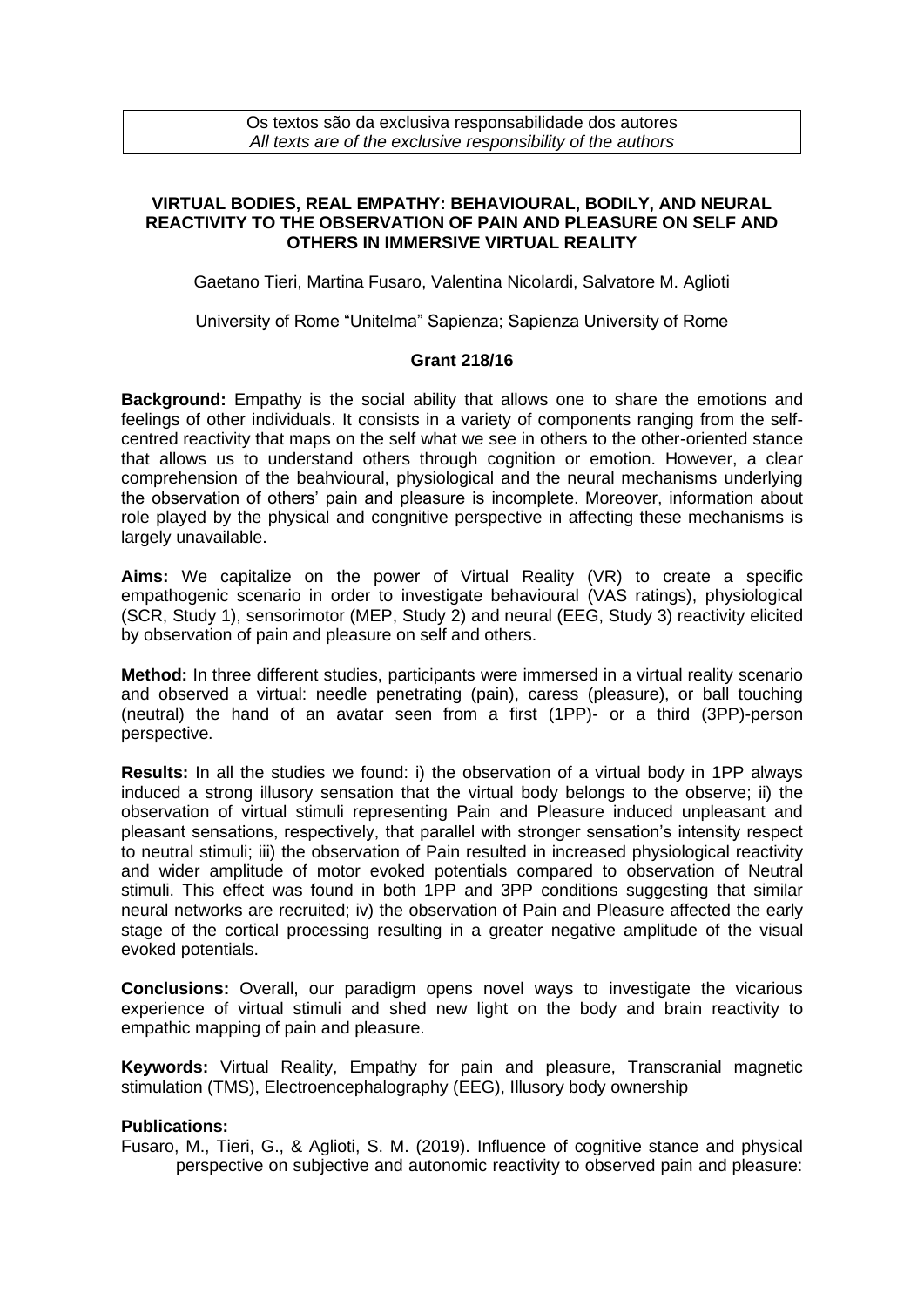Os textos são da exclusiva responsabilidade dos autores *All texts are of the exclusive responsibility of the authors*

## **VIRTUAL BODIES, REAL EMPATHY: BEHAVIOURAL, BODILY, AND NEURAL REACTIVITY TO THE OBSERVATION OF PAIN AND PLEASURE ON SELF AND OTHERS IN IMMERSIVE VIRTUAL REALITY**

Gaetano Tieri, Martina Fusaro, Valentina Nicolardi, Salvatore M. Aglioti

University of Rome "Unitelma" Sapienza; Sapienza University of Rome

## **Grant 218/16**

**Background:** Empathy is the social ability that allows one to share the emotions and feelings of other individuals. It consists in a variety of components ranging from the selfcentred reactivity that maps on the self what we see in others to the other-oriented stance that allows us to understand others through cognition or emotion. However, a clear comprehension of the beahvioural, physiological and the neural mechanisms underlying the observation of others' pain and pleasure is incomplete. Moreover, information about role played by the physical and congnitive perspective in affecting these mechanisms is largely unavailable.

**Aims:** We capitalize on the power of Virtual Reality (VR) to create a specific empathogenic scenario in order to investigate behavioural (VAS ratings), physiological (SCR, Study 1), sensorimotor (MEP, Study 2) and neural (EEG, Study 3) reactivity elicited by observation of pain and pleasure on self and others.

**Method:** In three different studies, participants were immersed in a virtual reality scenario and observed a virtual: needle penetrating (pain), caress (pleasure), or ball touching (neutral) the hand of an avatar seen from a first (1PP)- or a third (3PP)-person perspective.

**Results:** In all the studies we found: i) the observation of a virtual body in 1PP always induced a strong illusory sensation that the virtual body belongs to the observe; ii) the observation of virtual stimuli representing Pain and Pleasure induced unpleasant and pleasant sensations, respectively, that parallel with stronger sensation's intensity respect to neutral stimuli; iii) the observation of Pain resulted in increased physiological reactivity and wider amplitude of motor evoked potentials compared to observation of Neutral stimuli. This effect was found in both 1PP and 3PP conditions suggesting that similar neural networks are recruited; iv) the observation of Pain and Pleasure affected the early stage of the cortical processing resulting in a greater negative amplitude of the visual evoked potentials.

**Conclusions:** Overall, our paradigm opens novel ways to investigate the vicarious experience of virtual stimuli and shed new light on the body and brain reactivity to empathic mapping of pain and pleasure.

**Keywords:** Virtual Reality, Empathy for pain and pleasure, Transcranial magnetic stimulation (TMS), Electroencephalography (EEG), Illusory body ownership

## **Publications:**

Fusaro, M., Tieri, G., & Aglioti, S. M. (2019). Influence of cognitive stance and physical perspective on subjective and autonomic reactivity to observed pain and pleasure: